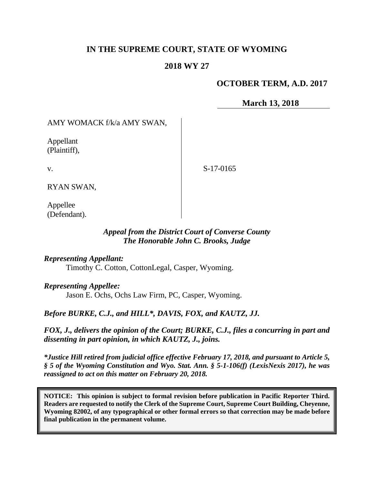## **IN THE SUPREME COURT, STATE OF WYOMING**

#### **2018 WY 27**

#### **OCTOBER TERM, A.D. 2017**

**March 13, 2018**

AMY WOMACK f/k/a AMY SWAN,

Appellant (Plaintiff),

v.

S-17-0165

RYAN SWAN,

Appellee (Defendant).

#### *Appeal from the District Court of Converse County The Honorable John C. Brooks, Judge*

*Representing Appellant:*

Timothy C. Cotton, CottonLegal, Casper, Wyoming.

*Representing Appellee:*

Jason E. Ochs, Ochs Law Firm, PC, Casper, Wyoming.

*Before BURKE, C.J., and HILL\*, DAVIS, FOX, and KAUTZ, JJ.*

*FOX, J., delivers the opinion of the Court; BURKE, C.J., files a concurring in part and dissenting in part opinion, in which KAUTZ, J., joins.*

*\*Justice Hill retired from judicial office effective February 17, 2018, and pursuant to Article 5, § 5 of the Wyoming Constitution and Wyo. Stat. Ann. § 5-1-106(f) (LexisNexis 2017), he was reassigned to act on this matter on February 20, 2018.*

**NOTICE: This opinion is subject to formal revision before publication in Pacific Reporter Third. Readers are requested to notify the Clerk of the Supreme Court, Supreme Court Building, Cheyenne, Wyoming 82002, of any typographical or other formal errors so that correction may be made before final publication in the permanent volume.**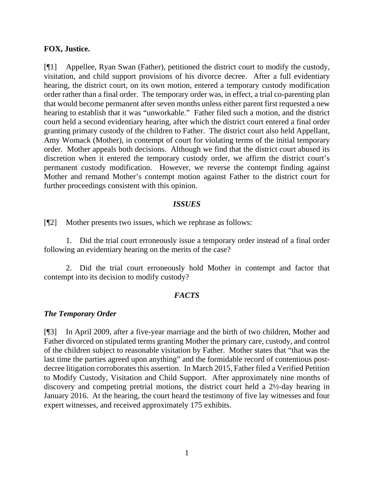#### **FOX, Justice.**

[¶1] Appellee, Ryan Swan (Father), petitioned the district court to modify the custody, visitation, and child support provisions of his divorce decree. After a full evidentiary hearing, the district court, on its own motion, entered a temporary custody modification order rather than a final order. The temporary order was, in effect, a trial co-parenting plan that would become permanent after seven months unless either parent first requested a new hearing to establish that it was "unworkable." Father filed such a motion, and the district court held a second evidentiary hearing, after which the district court entered a final order granting primary custody of the children to Father. The district court also held Appellant, Amy Womack (Mother), in contempt of court for violating terms of the initial temporary order. Mother appeals both decisions. Although we find that the district court abused its discretion when it entered the temporary custody order, we affirm the district court's permanent custody modification. However, we reverse the contempt finding against Mother and remand Mother's contempt motion against Father to the district court for further proceedings consistent with this opinion.

#### *ISSUES*

[¶2] Mother presents two issues, which we rephrase as follows:

1. Did the trial court erroneously issue a temporary order instead of a final order following an evidentiary hearing on the merits of the case?

2. Did the trial court erroneously hold Mother in contempt and factor that contempt into its decision to modify custody?

## *FACTS*

## *The Temporary Order*

[¶3] In April 2009, after a five-year marriage and the birth of two children, Mother and Father divorced on stipulated terms granting Mother the primary care, custody, and control of the children subject to reasonable visitation by Father. Mother states that "that was the last time the parties agreed upon anything" and the formidable record of contentious postdecree litigation corroborates this assertion. In March 2015, Father filed a Verified Petition to Modify Custody, Visitation and Child Support. After approximately nine months of discovery and competing pretrial motions, the district court held a 2½-day hearing in January 2016. At the hearing, the court heard the testimony of five lay witnesses and four expert witnesses, and received approximately 175 exhibits.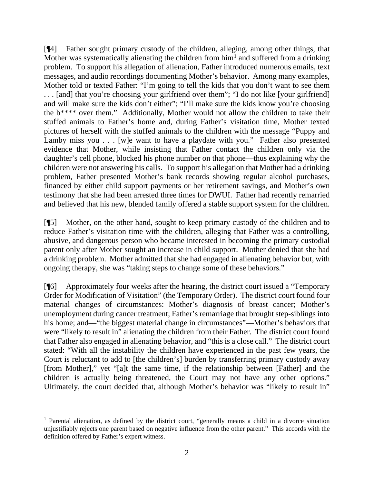[¶4] Father sought primary custody of the children, alleging, among other things, that Mother was systematically alienating the children from  $\text{him}^1$  $\text{him}^1$  and suffered from a drinking problem. To support his allegation of alienation, Father introduced numerous emails, text messages, and audio recordings documenting Mother's behavior. Among many examples, Mother told or texted Father: "I'm going to tell the kids that you don't want to see them ... [and] that you're choosing your girlfriend over them"; "I do not like [your girlfriend] and will make sure the kids don't either"; "I'll make sure the kids know you're choosing the b\*\*\*\* over them." Additionally, Mother would not allow the children to take their stuffed animals to Father's home and, during Father's visitation time, Mother texted pictures of herself with the stuffed animals to the children with the message "Puppy and Lamby miss you . . . [w]e want to have a playdate with you." Father also presented evidence that Mother, while insisting that Father contact the children only via the daughter's cell phone, blocked his phone number on that phone—thus explaining why the children were not answering his calls. To support his allegation that Mother had a drinking problem, Father presented Mother's bank records showing regular alcohol purchases, financed by either child support payments or her retirement savings, and Mother's own testimony that she had been arrested three times for DWUI. Father had recently remarried and believed that his new, blended family offered a stable support system for the children.

[¶5] Mother, on the other hand, sought to keep primary custody of the children and to reduce Father's visitation time with the children, alleging that Father was a controlling, abusive, and dangerous person who became interested in becoming the primary custodial parent only after Mother sought an increase in child support. Mother denied that she had a drinking problem. Mother admitted that she had engaged in alienating behavior but, with ongoing therapy, she was "taking steps to change some of these behaviors."

[¶6] Approximately four weeks after the hearing, the district court issued a "Temporary Order for Modification of Visitation" (the Temporary Order). The district court found four material changes of circumstances: Mother's diagnosis of breast cancer; Mother's unemployment during cancer treatment; Father's remarriage that brought step-siblings into his home; and—"the biggest material change in circumstances"—Mother's behaviors that were "likely to result in" alienating the children from their Father. The district court found that Father also engaged in alienating behavior, and "this is a close call." The district court stated: "With all the instability the children have experienced in the past few years, the Court is reluctant to add to [the children's] burden by transferring primary custody away [from Mother]," yet "[a]t the same time, if the relationship between [Father] and the children is actually being threatened, the Court may not have any other options." Ultimately, the court decided that, although Mother's behavior was "likely to result in"

<span id="page-2-0"></span><sup>1</sup> Parental alienation, as defined by the district court, "generally means a child in a divorce situation unjustifiably rejects one parent based on negative influence from the other parent." This accords with the definition offered by Father's expert witness.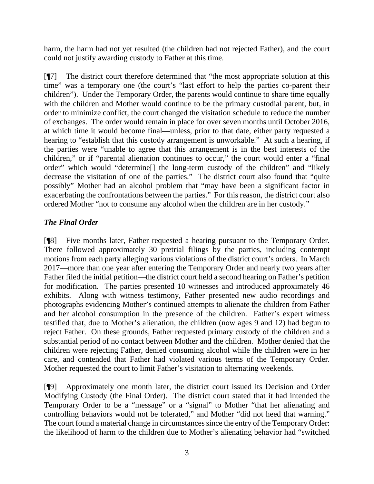harm, the harm had not yet resulted (the children had not rejected Father), and the court could not justify awarding custody to Father at this time.

[¶7] The district court therefore determined that "the most appropriate solution at this time" was a temporary one (the court's "last effort to help the parties co-parent their children"). Under the Temporary Order, the parents would continue to share time equally with the children and Mother would continue to be the primary custodial parent, but, in order to minimize conflict, the court changed the visitation schedule to reduce the number of exchanges. The order would remain in place for over seven months until October 2016, at which time it would become final—unless, prior to that date, either party requested a hearing to "establish that this custody arrangement is unworkable." At such a hearing, if the parties were "unable to agree that this arrangement is in the best interests of the children," or if "parental alienation continues to occur," the court would enter a "final order" which would "determine[] the long-term custody of the children" and "likely decrease the visitation of one of the parties." The district court also found that "quite possibly" Mother had an alcohol problem that "may have been a significant factor in exacerbating the confrontations between the parties." For this reason, the district court also ordered Mother "not to consume any alcohol when the children are in her custody."

## *The Final Order*

[¶8] Five months later, Father requested a hearing pursuant to the Temporary Order. There followed approximately 30 pretrial filings by the parties, including contempt motions from each party alleging various violations of the district court's orders. In March 2017—more than one year after entering the Temporary Order and nearly two years after Father filed the initial petition—the district court held a second hearing on Father's petition for modification. The parties presented 10 witnesses and introduced approximately 46 exhibits. Along with witness testimony, Father presented new audio recordings and photographs evidencing Mother's continued attempts to alienate the children from Father and her alcohol consumption in the presence of the children. Father's expert witness testified that, due to Mother's alienation, the children (now ages 9 and 12) had begun to reject Father. On these grounds, Father requested primary custody of the children and a substantial period of no contact between Mother and the children. Mother denied that the children were rejecting Father, denied consuming alcohol while the children were in her care, and contended that Father had violated various terms of the Temporary Order. Mother requested the court to limit Father's visitation to alternating weekends.

[¶9] Approximately one month later, the district court issued its Decision and Order Modifying Custody (the Final Order). The district court stated that it had intended the Temporary Order to be a "message" or a "signal" to Mother "that her alienating and controlling behaviors would not be tolerated," and Mother "did not heed that warning." The court found a material change in circumstances since the entry of the Temporary Order: the likelihood of harm to the children due to Mother's alienating behavior had "switched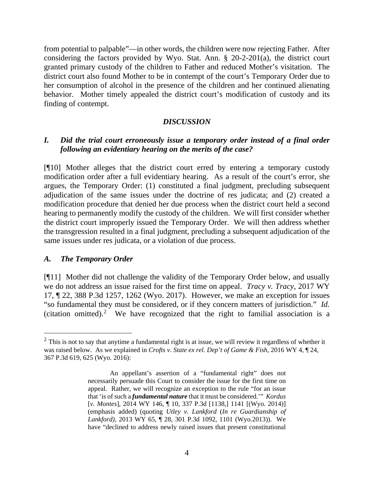from potential to palpable"—in other words, the children were now rejecting Father. After considering the factors provided by Wyo. Stat. Ann. § 20-2-201(a), the district court granted primary custody of the children to Father and reduced Mother's visitation. The district court also found Mother to be in contempt of the court's Temporary Order due to her consumption of alcohol in the presence of the children and her continued alienating behavior. Mother timely appealed the district court's modification of custody and its finding of contempt.

#### *DISCUSSION*

## *I. Did the trial court erroneously issue a temporary order instead of a final order following an evidentiary hearing on the merits of the case?*

[¶10] Mother alleges that the district court erred by entering a temporary custody modification order after a full evidentiary hearing. As a result of the court's error, she argues, the Temporary Order: (1) constituted a final judgment, precluding subsequent adjudication of the same issues under the doctrine of res judicata; and (2) created a modification procedure that denied her due process when the district court held a second hearing to permanently modify the custody of the children. We will first consider whether the district court improperly issued the Temporary Order. We will then address whether the transgression resulted in a final judgment, precluding a subsequent adjudication of the same issues under res judicata, or a violation of due process.

#### *A. The Temporary Order*

[¶11] Mother did not challenge the validity of the Temporary Order below, and usually we do not address an issue raised for the first time on appeal. *Tracy v. Tracy*, 2017 WY 17, ¶ 22, 388 P.3d 1257, 1262 (Wyo. 2017). However, we make an exception for issues "so fundamental they must be considered, or if they concern matters of jurisdiction." *Id.* (citation omitted).<sup>[2](#page-4-0)</sup> We have recognized that the right to familial association is a

<span id="page-4-0"></span><sup>&</sup>lt;sup>2</sup> This is not to say that anytime a fundamental right is at issue, we will review it regardless of whether it was raised below. As we explained in *Crofts v. State ex rel. Dep't of Game & Fish*, 2016 WY 4, ¶ 24, 367 P.3d 619, 625 (Wyo. 2016):

An appellant's assertion of a "fundamental right" does not necessarily persuade this Court to consider the issue for the first time on appeal. Rather, we will recognize an exception to the rule "for an issue that 'is of such a *fundamental nature* that it must be considered.'" *Kordus* [*v. Montes*], 2014 WY 146, ¶ 10, 337 P.3d [1138,] 1141 [(Wyo. 2014)] (emphasis added) (quoting *Utley v. Lankford* (*In re Guardianship of Lankford)*, 2013 WY 65, ¶ 28, 301 P.3d 1092, 1101 (Wyo.2013)). We have "declined to address newly raised issues that present constitutional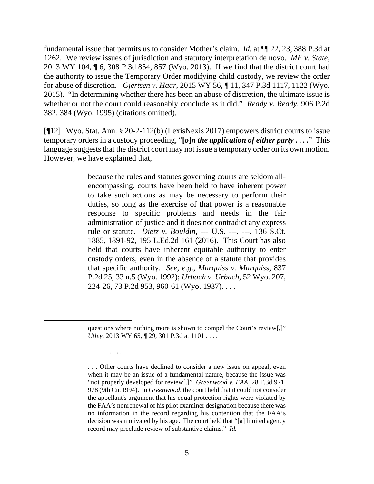fundamental issue that permits us to consider Mother's claim. *Id.* at ¶¶ 22, 23, 388 P.3d at 1262. We review issues of jurisdiction and statutory interpretation de novo. *MF v. State*, 2013 WY 104, ¶ 6, 308 P.3d 854, 857 (Wyo. 2013). If we find that the district court had the authority to issue the Temporary Order modifying child custody, we review the order for abuse of discretion. *Gjertsen v. Haar*, 2015 WY 56, ¶ 11, 347 P.3d 1117, 1122 (Wyo. 2015). "In determining whether there has been an abuse of discretion, the ultimate issue is whether or not the court could reasonably conclude as it did." *Ready v. Ready*, 906 P.2d 382, 384 (Wyo. 1995) (citations omitted).

[¶12] Wyo. Stat. Ann. § 20-2-112(b) (LexisNexis 2017) empowers district courts to issue temporary orders in a custody proceeding, "**[***o***]***n the application of either party* **. . . .**" This language suggests that the district court may not issue a temporary order on its own motion. However, we have explained that,

> because the rules and statutes governing courts are seldom allencompassing, courts have been held to have inherent power to take such actions as may be necessary to perform their duties, so long as the exercise of that power is a reasonable response to specific problems and needs in the fair administration of justice and it does not contradict any express rule or statute. *Dietz v. Bouldin*, --- U.S. ---, ---, 136 S.Ct. 1885, 1891-92, 195 L.Ed.2d 161 (2016). This Court has also held that courts have inherent equitable authority to enter custody orders, even in the absence of a statute that provides that specific authority. *See, e.g*., *Marquiss v. Marquiss*, 837 P.2d 25, 33 n.5 (Wyo. 1992); *Urbach v. Urbach*, 52 Wyo. 207, 224-26, 73 P.2d 953, 960-61 (Wyo. 1937). . . .

> questions where nothing more is shown to compel the Court's review[,]" *Utley*, 2013 WY 65, ¶ 29, 301 P.3d at 1101 . . . .

> > . . . .

<sup>. . .</sup> Other courts have declined to consider a new issue on appeal, even when it may be an issue of a fundamental nature, because the issue was "not properly developed for review[.]" *Greenwood v. FAA*, 28 F.3d 971, 978 (9th Cir.1994). In *Greenwood*, the court held that it could not consider the appellant's argument that his equal protection rights were violated by the FAA's nonrenewal of his pilot examiner designation because there was no information in the record regarding his contention that the FAA's decision was motivated by his age. The court held that "[a] limited agency record may preclude review of substantive claims." *Id.*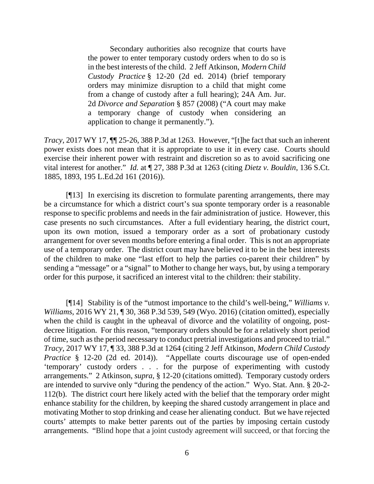Secondary authorities also recognize that courts have the power to enter temporary custody orders when to do so is in the best interests of the child. 2 Jeff Atkinson, *Modern Child Custody Practice* § 12-20 (2d ed. 2014) (brief temporary orders may minimize disruption to a child that might come from a change of custody after a full hearing); 24A Am. Jur. 2d *Divorce and Separation* § 857 (2008) ("A court may make a temporary change of custody when considering an application to change it permanently.").

*Tracy*, 2017 WY 17, ¶¶ 25-26, 388 P.3d at 1263. However, "[t]he fact that such an inherent power exists does not mean that it is appropriate to use it in every case. Courts should exercise their inherent power with restraint and discretion so as to avoid sacrificing one vital interest for another." *Id.* at ¶ 27, 388 P.3d at 1263 (citing *Dietz v. Bouldin*, 136 S.Ct. 1885, 1893, 195 L.Ed.2d 161 (2016)).

[¶13] In exercising its discretion to formulate parenting arrangements, there may be a circumstance for which a district court's sua sponte temporary order is a reasonable response to specific problems and needs in the fair administration of justice. However, this case presents no such circumstances. After a full evidentiary hearing, the district court, upon its own motion, issued a temporary order as a sort of probationary custody arrangement for over seven months before entering a final order. This is not an appropriate use of a temporary order. The district court may have believed it to be in the best interests of the children to make one "last effort to help the parties co-parent their children" by sending a "message" or a "signal" to Mother to change her ways, but, by using a temporary order for this purpose, it sacrificed an interest vital to the children: their stability.

[¶14] Stability is of the "utmost importance to the child's well-being," *Williams v. Williams*, 2016 WY 21, ¶ 30, 368 P.3d 539, 549 (Wyo. 2016) (citation omitted), especially when the child is caught in the upheaval of divorce and the volatility of ongoing, postdecree litigation. For this reason, "temporary orders should be for a relatively short period of time, such as the period necessary to conduct pretrial investigations and proceed to trial." *Tracy*, 2017 WY 17, ¶ 33, 388 P.3d at 1264 (citing 2 Jeff Atkinson, *Modern Child Custody Practice* § 12-20 (2d ed. 2014)). "Appellate courts discourage use of open-ended 'temporary' custody orders . . . for the purpose of experimenting with custody arrangements." 2 Atkinson, *supra*, § 12-20 (citations omitted). Temporary custody orders are intended to survive only "during the pendency of the action." Wyo. Stat. Ann. § 20-2- 112(b). The district court here likely acted with the belief that the temporary order might enhance stability for the children, by keeping the shared custody arrangement in place and motivating Mother to stop drinking and cease her alienating conduct. But we have rejected courts' attempts to make better parents out of the parties by imposing certain custody arrangements. "Blind hope that a joint custody agreement will succeed, or that forcing the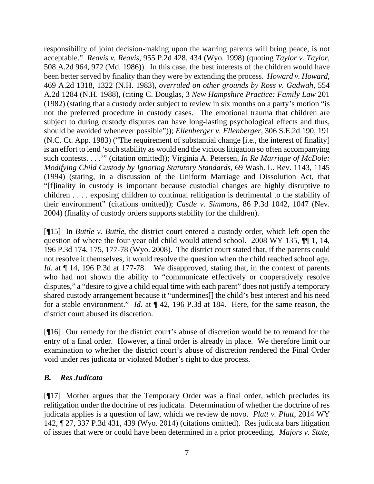responsibility of joint decision-making upon the warring parents will bring peace, is not acceptable." *Reavis v. Reavis*, 955 P.2d 428, 434 (Wyo. 1998) (quoting *Taylor v. Taylor*, 508 A.2d 964, 972 (Md. 1986)). In this case, the best interests of the children would have been better served by finality than they were by extending the process. *Howard v. Howard*, 469 A.2d 1318, 1322 (N.H. 1983), *overruled on other grounds by Ross v. Gadwah*, 554 A.2d 1284 (N.H. 1988), (citing C. Douglas, 3 *New Hampshire Practice: Family Law* 201 (1982) (stating that a custody order subject to review in six months on a party's motion "is not the preferred procedure in custody cases. The emotional trauma that children are subject to during custody disputes can have long-lasting psychological effects and thus, should be avoided whenever possible")); *Ellenberger v. Ellenberger*, 306 S.E.2d 190, 191 (N.C. Ct. App. 1983) ("The requirement of substantial change [i.e., the interest of finality] is an effort to lend 'such stability as would end the vicious litigation so often accompanying such contests. . . .'" (citation omitted)); Virginia A. Petersen, *In Re Marriage of McDole: Modifying Child Custody by Ignoring Statutory Standards*, 69 Wash. L. Rev. 1143, 1145 (1994) (stating, in a discussion of the Uniform Marriage and Dissolution Act, that "[f]inality in custody is important because custodial changes are highly disruptive to children . . . . exposing children to continual relitigation is detrimental to the stability of their environment" (citations omitted)); *Castle v. Simmons*, 86 P.3d 1042, 1047 (Nev. 2004) (finality of custody orders supports stability for the children).

[¶15] In *Buttle v. Buttle*, the district court entered a custody order, which left open the question of where the four-year old child would attend school. 2008 WY 135, ¶¶ 1, 14, 196 P.3d 174, 175, 177-78 (Wyo. 2008). The district court stated that, if the parents could not resolve it themselves, it would resolve the question when the child reached school age. *Id.* at  $\P$  14, 196 P.3d at 177-78. We disapproved, stating that, in the context of parents who had not shown the ability to "communicate effectively or cooperatively resolve disputes," a "desire to give a child equal time with each parent" does not justify a temporary shared custody arrangement because it "undermines[] the child's best interest and his need for a stable environment." *Id.* at ¶ 42, 196 P.3d at 184. Here, for the same reason, the district court abused its discretion.

[¶16] Our remedy for the district court's abuse of discretion would be to remand for the entry of a final order. However, a final order is already in place. We therefore limit our examination to whether the district court's abuse of discretion rendered the Final Order void under res judicata or violated Mother's right to due process.

## *B. Res Judicata*

[¶17] Mother argues that the Temporary Order was a final order, which precludes its relitigation under the doctrine of res judicata. Determination of whether the doctrine of res judicata applies is a question of law, which we review de novo. *Platt v. Platt*, 2014 WY 142, ¶ 27, 337 P.3d 431, 439 (Wyo. 2014) (citations omitted). Res judicata bars litigation of issues that were or could have been determined in a prior proceeding. *Majors v. State*,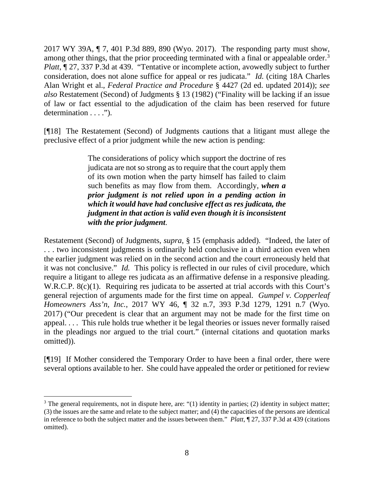2017 WY 39A, ¶ 7, 401 P.3d 889, 890 (Wyo. 2017). The responding party must show, among other things, that the prior proceeding terminated with a final or appealable order.<sup>[3](#page-8-0)</sup> *Platt*,  $\sqrt{27}$ , 337 P.3d at 439. "Tentative or incomplete action, avowedly subject to further consideration, does not alone suffice for appeal or res judicata." *Id.* (citing 18A Charles Alan Wright et al., *Federal Practice and Procedure* § 4427 (2d ed. updated 2014)); *see also* Restatement (Second) of Judgments § 13 (1982) ("Finality will be lacking if an issue of law or fact essential to the adjudication of the claim has been reserved for future determination . . . .").

[¶18] The Restatement (Second) of Judgments cautions that a litigant must allege the preclusive effect of a prior judgment while the new action is pending:

> The considerations of policy which support the doctrine of res judicata are not so strong as to require that the court apply them of its own motion when the party himself has failed to claim such benefits as may flow from them. Accordingly, *when a prior judgment is not relied upon in a pending action in which it would have had conclusive effect as res judicata, the judgment in that action is valid even though it is inconsistent with the prior judgment*.

Restatement (Second) of Judgments, *supra*, § 15 (emphasis added). "Indeed, the later of . . . two inconsistent judgments is ordinarily held conclusive in a third action even when the earlier judgment was relied on in the second action and the court erroneously held that it was not conclusive." *Id.* This policy is reflected in our rules of civil procedure, which require a litigant to allege res judicata as an affirmative defense in a responsive pleading. W.R.C.P. 8(c)(1). Requiring res judicata to be asserted at trial accords with this Court's general rejection of arguments made for the first time on appeal. *Gumpel v. Copperleaf Homeowners Ass'n, Inc.*, 2017 WY 46, ¶ 32 n.7, 393 P.3d 1279, 1291 n.7 (Wyo. 2017) ("Our precedent is clear that an argument may not be made for the first time on appeal. . . . This rule holds true whether it be legal theories or issues never formally raised in the pleadings nor argued to the trial court." (internal citations and quotation marks omitted)).

[¶19] If Mother considered the Temporary Order to have been a final order, there were several options available to her. She could have appealed the order or petitioned for review

<span id="page-8-0"></span> $3$  The general requirements, not in dispute here, are: "(1) identity in parties; (2) identity in subject matter; (3) the issues are the same and relate to the subject matter; and (4) the capacities of the persons are identical in reference to both the subject matter and the issues between them." *Platt*, ¶ 27, 337 P.3d at 439 (citations omitted).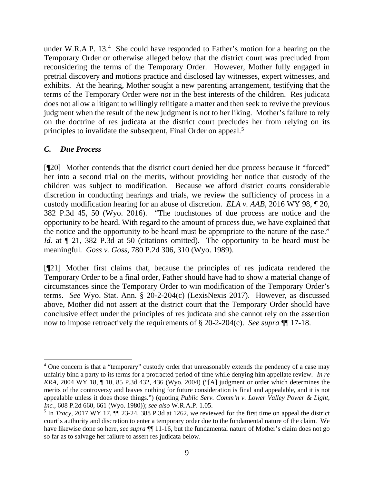under W.R.A.P. 13.<sup>[4](#page-9-0)</sup> She could have responded to Father's motion for a hearing on the Temporary Order or otherwise alleged below that the district court was precluded from reconsidering the terms of the Temporary Order. However, Mother fully engaged in pretrial discovery and motions practice and disclosed lay witnesses, expert witnesses, and exhibits. At the hearing, Mother sought a new parenting arrangement, testifying that the terms of the Temporary Order were *not* in the best interests of the children. Res judicata does not allow a litigant to willingly relitigate a matter and then seek to revive the previous judgment when the result of the new judgment is not to her liking. Mother's failure to rely on the doctrine of res judicata at the district court precludes her from relying on its principles to invalidate the subsequent, Final Order on appeal.<sup>[5](#page-9-1)</sup>

## *C. Due Process*

[¶20] Mother contends that the district court denied her due process because it "forced" her into a second trial on the merits, without providing her notice that custody of the children was subject to modification. Because we afford district courts considerable discretion in conducting hearings and trials, we review the sufficiency of process in a custody modification hearing for an abuse of discretion. *ELA v. AAB*, 2016 WY 98, ¶ 20, 382 P.3d 45, 50 (Wyo. 2016). "The touchstones of due process are notice and the opportunity to be heard. With regard to the amount of process due, we have explained that the notice and the opportunity to be heard must be appropriate to the nature of the case." *Id.* at  $\llbracket 21, 382 \rrbracket$  *P.3d at 50 (citations omitted).* The opportunity to be heard must be meaningful. *Goss v. Goss*, 780 P.2d 306, 310 (Wyo. 1989).

[¶21] Mother first claims that, because the principles of res judicata rendered the Temporary Order to be a final order, Father should have had to show a material change of circumstances since the Temporary Order to win modification of the Temporary Order's terms. *See* Wyo. Stat. Ann. § 20-2-204(c) (LexisNexis 2017). However, as discussed above, Mother did not assert at the district court that the Temporary Order should have conclusive effect under the principles of res judicata and she cannot rely on the assertion now to impose retroactively the requirements of § 20-2-204(c). *See supra* ¶¶ 17-18.

<span id="page-9-0"></span><sup>4</sup> One concern is that a "temporary" custody order that unreasonably extends the pendency of a case may unfairly bind a party to its terms for a protracted period of time while denying him appellate review. *In re KRA*, 2004 WY 18, ¶ 10, 85 P.3d 432, 436 (Wyo. 2004) ("[A] judgment or order which determines the merits of the controversy and leaves nothing for future consideration is final and appealable, and it is not appealable unless it does those things.") (quoting *Public Serv. Comm'n v. Lower Valley Power & Light, Inc.*, 608 P.2d 660, 661 (Wyo. 1980)); *see also* W.R.A.P. 1.05.

<span id="page-9-1"></span><sup>5</sup> In *Tracy*, 2017 WY 17, ¶¶ 23-24, 388 P.3d at 1262, we reviewed for the first time on appeal the district court's authority and discretion to enter a temporary order due to the fundamental nature of the claim. We have likewise done so here, *see supra*  $\P\P$  11-16, but the fundamental nature of Mother's claim does not go so far as to salvage her failure to assert res judicata below.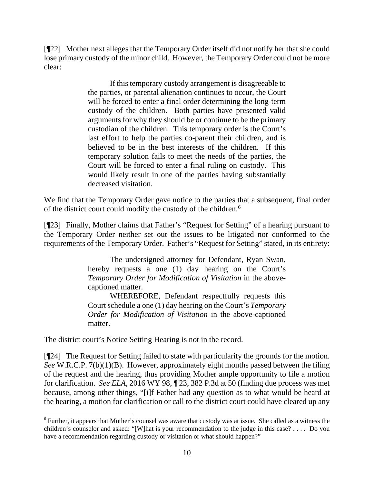[¶22] Mother next alleges that the Temporary Order itself did not notify her that she could lose primary custody of the minor child. However, the Temporary Order could not be more clear:

> If this temporary custody arrangement is disagreeable to the parties, or parental alienation continues to occur, the Court will be forced to enter a final order determining the long-term custody of the children. Both parties have presented valid arguments for why they should be or continue to be the primary custodian of the children. This temporary order is the Court's last effort to help the parties co-parent their children, and is believed to be in the best interests of the children. If this temporary solution fails to meet the needs of the parties, the Court will be forced to enter a final ruling on custody. This would likely result in one of the parties having substantially decreased visitation.

We find that the Temporary Order gave notice to the parties that a subsequent, final order of the district court could modify the custody of the children.[6](#page-10-0)

[¶23] Finally, Mother claims that Father's "Request for Setting" of a hearing pursuant to the Temporary Order neither set out the issues to be litigated nor conformed to the requirements of the Temporary Order. Father's "Request for Setting" stated, in its entirety:

> The undersigned attorney for Defendant, Ryan Swan, hereby requests a one (1) day hearing on the Court's *Temporary Order for Modification of Visitation* in the abovecaptioned matter.

> WHEREFORE, Defendant respectfully requests this Court schedule a one (1) day hearing on the Court's *Temporary Order for Modification of Visitation* in the above-captioned matter.

The district court's Notice Setting Hearing is not in the record.

[¶24] The Request for Setting failed to state with particularity the grounds for the motion. *See* W.R.C.P. 7(b)(1)(B). However, approximately eight months passed between the filing of the request and the hearing, thus providing Mother ample opportunity to file a motion for clarification. *See ELA*, 2016 WY 98, ¶ 23, 382 P.3d at 50 (finding due process was met because, among other things, "[i]f Father had any question as to what would be heard at the hearing, a motion for clarification or call to the district court could have cleared up any

<span id="page-10-0"></span><sup>6</sup> Further, it appears that Mother's counsel was aware that custody was at issue. She called as a witness the children's counselor and asked: "[W]hat is your recommendation to the judge in this case? . . . . Do you have a recommendation regarding custody or visitation or what should happen?"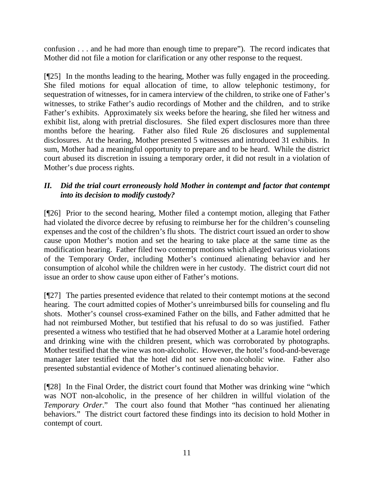confusion . . . and he had more than enough time to prepare"). The record indicates that Mother did not file a motion for clarification or any other response to the request.

[¶25] In the months leading to the hearing, Mother was fully engaged in the proceeding. She filed motions for equal allocation of time, to allow telephonic testimony, for sequestration of witnesses, for in camera interview of the children, to strike one of Father's witnesses, to strike Father's audio recordings of Mother and the children, and to strike Father's exhibits. Approximately six weeks before the hearing, she filed her witness and exhibit list, along with pretrial disclosures. She filed expert disclosures more than three months before the hearing. Father also filed Rule 26 disclosures and supplemental disclosures. At the hearing, Mother presented 5 witnesses and introduced 31 exhibits. In sum, Mother had a meaningful opportunity to prepare and to be heard. While the district court abused its discretion in issuing a temporary order, it did not result in a violation of Mother's due process rights.

## *II. Did the trial court erroneously hold Mother in contempt and factor that contempt into its decision to modify custody?*

[¶26] Prior to the second hearing, Mother filed a contempt motion, alleging that Father had violated the divorce decree by refusing to reimburse her for the children's counseling expenses and the cost of the children's flu shots. The district court issued an order to show cause upon Mother's motion and set the hearing to take place at the same time as the modification hearing. Father filed two contempt motions which alleged various violations of the Temporary Order, including Mother's continued alienating behavior and her consumption of alcohol while the children were in her custody. The district court did not issue an order to show cause upon either of Father's motions.

[¶27] The parties presented evidence that related to their contempt motions at the second hearing. The court admitted copies of Mother's unreimbursed bills for counseling and flu shots. Mother's counsel cross-examined Father on the bills, and Father admitted that he had not reimbursed Mother, but testified that his refusal to do so was justified. Father presented a witness who testified that he had observed Mother at a Laramie hotel ordering and drinking wine with the children present, which was corroborated by photographs. Mother testified that the wine was non-alcoholic. However, the hotel's food-and-beverage manager later testified that the hotel did not serve non-alcoholic wine. Father also presented substantial evidence of Mother's continued alienating behavior.

[¶28] In the Final Order, the district court found that Mother was drinking wine "which was NOT non-alcoholic, in the presence of her children in willful violation of the *Temporary Order*." The court also found that Mother "has continued her alienating behaviors." The district court factored these findings into its decision to hold Mother in contempt of court.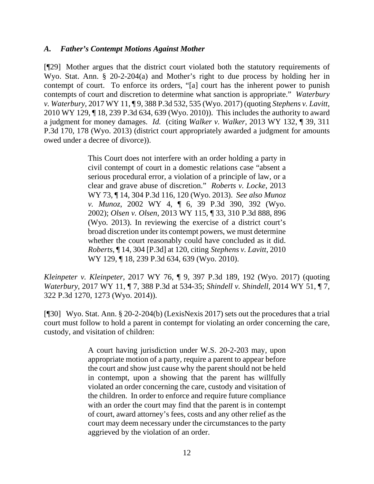#### *A. Father's Contempt Motions Against Mother*

[¶29] Mother argues that the district court violated both the statutory requirements of Wyo. Stat. Ann. § 20-2-204(a) and Mother's right to due process by holding her in contempt of court. To enforce its orders, "[a] court has the inherent power to punish contempts of court and discretion to determine what sanction is appropriate." *Waterbury v. Waterbury*, 2017 WY 11, ¶ 9, 388 P.3d 532, 535 (Wyo. 2017) (quoting *Stephens v. Lavitt*, 2010 WY 129, ¶ 18, 239 P.3d 634, 639 (Wyo. 2010)). This includes the authority to award a judgment for money damages. *Id.* (citing *Walker v. Walker*, 2013 WY 132, ¶ 39, 311 P.3d 170, 178 (Wyo. 2013) (district court appropriately awarded a judgment for amounts owed under a decree of divorce)).

> This Court does not interfere with an order holding a party in civil contempt of court in a domestic relations case "absent a serious procedural error, a violation of a principle of law, or a clear and grave abuse of discretion." *Roberts v. Locke*, 2013 WY 73, ¶ 14, 304 P.3d 116, 120 (Wyo. 2013). *See also Munoz v. Munoz*, 2002 WY 4, ¶ 6, 39 P.3d 390, 392 (Wyo. 2002); *Olsen v. Olsen*, 2013 WY 115, ¶ 33, 310 P.3d 888, 896 (Wyo. 2013). In reviewing the exercise of a district court's broad discretion under its contempt powers, we must determine whether the court reasonably could have concluded as it did. *Roberts*, ¶ 14, 304 [P.3d] at 120, citing *Stephens v. Lavitt*, 2010 WY 129, ¶ 18, 239 P.3d 634, 639 (Wyo. 2010).

*Kleinpeter v. Kleinpeter*, 2017 WY 76, ¶ 9, 397 P.3d 189, 192 (Wyo. 2017) (quoting *Waterbury*, 2017 WY 11, ¶ 7, 388 P.3d at 534-35; *Shindell v. Shindell*, 2014 WY 51, ¶ 7, 322 P.3d 1270, 1273 (Wyo. 2014)).

[¶30] Wyo. Stat. Ann. § 20-2-204(b) (LexisNexis 2017) sets out the procedures that a trial court must follow to hold a parent in contempt for violating an order concerning the care, custody, and visitation of children:

> A court having jurisdiction under W.S. 20-2-203 may, upon appropriate motion of a party, require a parent to appear before the court and show just cause why the parent should not be held in contempt, upon a showing that the parent has willfully violated an order concerning the care, custody and visitation of the children. In order to enforce and require future compliance with an order the court may find that the parent is in contempt of court, award attorney's fees, costs and any other relief as the court may deem necessary under the circumstances to the party aggrieved by the violation of an order.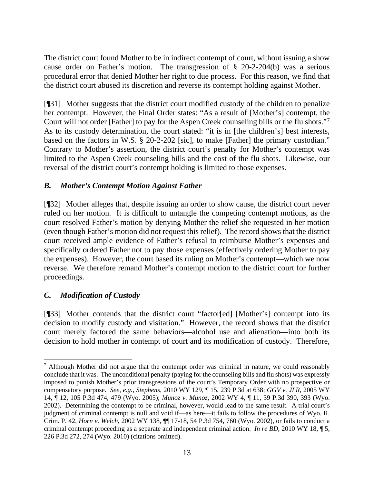The district court found Mother to be in indirect contempt of court, without issuing a show cause order on Father's motion. The transgression of § 20-2-204(b) was a serious procedural error that denied Mother her right to due process. For this reason, we find that the district court abused its discretion and reverse its contempt holding against Mother.

[¶31] Mother suggests that the district court modified custody of the children to penalize her contempt. However, the Final Order states: "As a result of [Mother's] contempt, the Court will not order [Father] to pay for the Aspen Creek counseling bills or the flu shots."[7](#page-13-0) As to its custody determination, the court stated: "it is in [the children's] best interests, based on the factors in W.S. § 20-2-202 [sic], to make [Father] the primary custodian." Contrary to Mother's assertion, the district court's penalty for Mother's contempt was limited to the Aspen Creek counseling bills and the cost of the flu shots. Likewise, our reversal of the district court's contempt holding is limited to those expenses.

## *B. Mother's Contempt Motion Against Father*

[¶32] Mother alleges that, despite issuing an order to show cause, the district court never ruled on her motion. It is difficult to untangle the competing contempt motions, as the court resolved Father's motion by denying Mother the relief she requested in her motion (even though Father's motion did not request this relief). The record shows that the district court received ample evidence of Father's refusal to reimburse Mother's expenses and specifically ordered Father not to pay those expenses (effectively ordering Mother to pay the expenses). However, the court based its ruling on Mother's contempt—which we now reverse. We therefore remand Mother's contempt motion to the district court for further proceedings.

# *C. Modification of Custody*

[¶33] Mother contends that the district court "factor[ed] [Mother's] contempt into its decision to modify custody and visitation." However, the record shows that the district court merely factored the same behaviors—alcohol use and alienation—into both its decision to hold mother in contempt of court and its modification of custody. Therefore,

<span id="page-13-0"></span> $<sup>7</sup>$  Although Mother did not argue that the contempt order was criminal in nature, we could reasonably</sup> conclude that it was. The unconditional penalty (paying for the counseling bills and flu shots) was expressly imposed to punish Mother's prior transgressions of the court's Temporary Order with no prospective or compensatory purpose. *See*, *e.g.*, *Stephens*, 2010 WY 129, ¶ 15, 239 P.3d at 638; *GGV v. JLR*, 2005 WY 14, ¶ 12, 105 P.3d 474, 479 (Wyo. 2005); *Munoz v. Munoz*, 2002 WY 4, ¶ 11, 39 P.3d 390, 393 (Wyo. 2002). Determining the contempt to be criminal, however, would lead to the same result. A trial court's judgment of criminal contempt is null and void if—as here—it fails to follow the procedures of Wyo. R. Crim. P. 42, *Horn v. Welch*, 2002 WY 138, ¶¶ 17-18, 54 P.3d 754, 760 (Wyo. 2002), or fails to conduct a criminal contempt proceeding as a separate and independent criminal action. *In re BD*, 2010 WY 18, ¶ 5, 226 P.3d 272, 274 (Wyo. 2010) (citations omitted).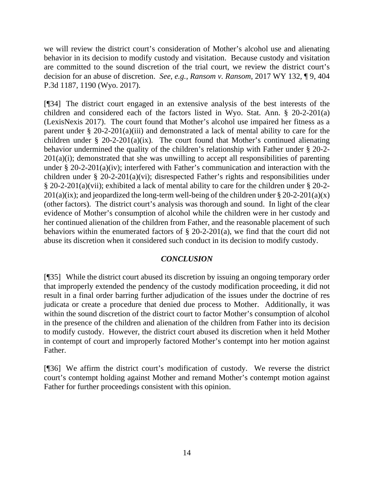we will review the district court's consideration of Mother's alcohol use and alienating behavior in its decision to modify custody and visitation. Because custody and visitation are committed to the sound discretion of the trial court, we review the district court's decision for an abuse of discretion. *See*, *e.g.*, *Ransom v. Ransom*, 2017 WY 132, ¶ 9, 404 P.3d 1187, 1190 (Wyo. 2017).

[¶34] The district court engaged in an extensive analysis of the best interests of the children and considered each of the factors listed in Wyo. Stat. Ann. § 20-2-201(a) (LexisNexis 2017). The court found that Mother's alcohol use impaired her fitness as a parent under  $\S 20-2-201(a)(iii)$  and demonstrated a lack of mental ability to care for the children under § 20-2-201(a)(ix). The court found that Mother's continued alienating behavior undermined the quality of the children's relationship with Father under § 20-2-  $201(a)(i)$ ; demonstrated that she was unwilling to accept all responsibilities of parenting under § 20-2-201(a)(iv); interfered with Father's communication and interaction with the children under § 20-2-201(a)(vi); disrespected Father's rights and responsibilities under § 20-2-201(a)(vii); exhibited a lack of mental ability to care for the children under § 20-2-  $201(a)(ix)$ ; and jeopardized the long-term well-being of the children under § 20-2-201(a)(x) (other factors). The district court's analysis was thorough and sound. In light of the clear evidence of Mother's consumption of alcohol while the children were in her custody and her continued alienation of the children from Father, and the reasonable placement of such behaviors within the enumerated factors of  $\S$  20-2-201(a), we find that the court did not abuse its discretion when it considered such conduct in its decision to modify custody.

## *CONCLUSION*

[¶35] While the district court abused its discretion by issuing an ongoing temporary order that improperly extended the pendency of the custody modification proceeding, it did not result in a final order barring further adjudication of the issues under the doctrine of res judicata or create a procedure that denied due process to Mother. Additionally, it was within the sound discretion of the district court to factor Mother's consumption of alcohol in the presence of the children and alienation of the children from Father into its decision to modify custody. However, the district court abused its discretion when it held Mother in contempt of court and improperly factored Mother's contempt into her motion against Father.

[¶36] We affirm the district court's modification of custody. We reverse the district court's contempt holding against Mother and remand Mother's contempt motion against Father for further proceedings consistent with this opinion.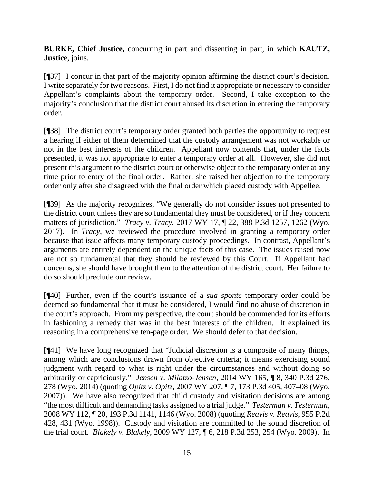**BURKE, Chief Justice,** concurring in part and dissenting in part, in which **KAUTZ, Justice**, joins.

[¶37] I concur in that part of the majority opinion affirming the district court's decision. I write separately for two reasons. First, I do not find it appropriate or necessary to consider Appellant's complaints about the temporary order. Second, I take exception to the majority's conclusion that the district court abused its discretion in entering the temporary order.

[¶38] The district court's temporary order granted both parties the opportunity to request a hearing if either of them determined that the custody arrangement was not workable or not in the best interests of the children. Appellant now contends that, under the facts presented, it was not appropriate to enter a temporary order at all. However, she did not present this argument to the district court or otherwise object to the temporary order at any time prior to entry of the final order. Rather, she raised her objection to the temporary order only after she disagreed with the final order which placed custody with Appellee.

[¶39] As the majority recognizes, "We generally do not consider issues not presented to the district court unless they are so fundamental they must be considered, or if they concern matters of jurisdiction." *Tracy v. Tracy*, 2017 WY 17, ¶ 22, 388 P.3d 1257, 1262 (Wyo. 2017). In *Tracy*, we reviewed the procedure involved in granting a temporary order because that issue affects many temporary custody proceedings. In contrast, Appellant's arguments are entirely dependent on the unique facts of this case. The issues raised now are not so fundamental that they should be reviewed by this Court. If Appellant had concerns, she should have brought them to the attention of the district court. Her failure to do so should preclude our review.

[¶40] Further, even if the court's issuance of a *sua sponte* temporary order could be deemed so fundamental that it must be considered, I would find no abuse of discretion in the court's approach. From my perspective, the court should be commended for its efforts in fashioning a remedy that was in the best interests of the children. It explained its reasoning in a comprehensive ten-page order. We should defer to that decision.

[¶41] We have long recognized that "Judicial discretion is a composite of many things, among which are conclusions drawn from objective criteria; it means exercising sound judgment with regard to what is right under the circumstances and without doing so arbitrarily or capriciously." *Jensen v. Milatzo-Jensen*, 2014 WY 165, ¶ 8, 340 P.3d 276, 278 (Wyo. 2014) (quoting *Opitz v. Opitz*, 2007 WY 207, ¶ 7, 173 P.3d 405, 407–08 (Wyo. 2007)). We have also recognized that child custody and visitation decisions are among "the most difficult and demanding tasks assigned to a trial judge." *Testerman v. Testerman*, 2008 WY 112, ¶ 20, 193 P.3d 1141, 1146 (Wyo. 2008) (quoting *Reavis v. Reavis*, 955 P.2d 428, 431 (Wyo. 1998)). Custody and visitation are committed to the sound discretion of the trial court. *Blakely v. Blakely*, 2009 WY 127, ¶ 6, 218 P.3d 253, 254 (Wyo. 2009). In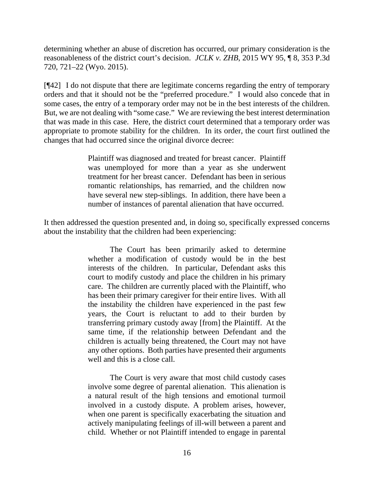determining whether an abuse of discretion has occurred, our primary consideration is the reasonableness of the district court's decision. *JCLK v. ZHB*, 2015 WY 95, ¶ 8, 353 P.3d 720, 721–22 (Wyo. 2015).

[¶42] I do not dispute that there are legitimate concerns regarding the entry of temporary orders and that it should not be the "preferred procedure." I would also concede that in some cases, the entry of a temporary order may not be in the best interests of the children. But, we are not dealing with "some case." We are reviewing the best interest determination that was made in this case. Here, the district court determined that a temporary order was appropriate to promote stability for the children. In its order, the court first outlined the changes that had occurred since the original divorce decree:

> Plaintiff was diagnosed and treated for breast cancer. Plaintiff was unemployed for more than a year as she underwent treatment for her breast cancer. Defendant has been in serious romantic relationships, has remarried, and the children now have several new step-siblings. In addition, there have been a number of instances of parental alienation that have occurred.

It then addressed the question presented and, in doing so, specifically expressed concerns about the instability that the children had been experiencing:

> The Court has been primarily asked to determine whether a modification of custody would be in the best interests of the children. In particular, Defendant asks this court to modify custody and place the children in his primary care. The children are currently placed with the Plaintiff, who has been their primary caregiver for their entire lives. With all the instability the children have experienced in the past few years, the Court is reluctant to add to their burden by transferring primary custody away [from] the Plaintiff. At the same time, if the relationship between Defendant and the children is actually being threatened, the Court may not have any other options. Both parties have presented their arguments well and this is a close call.

> The Court is very aware that most child custody cases involve some degree of parental alienation. This alienation is a natural result of the high tensions and emotional turmoil involved in a custody dispute. A problem arises, however, when one parent is specifically exacerbating the situation and actively manipulating feelings of ill-will between a parent and child. Whether or not Plaintiff intended to engage in parental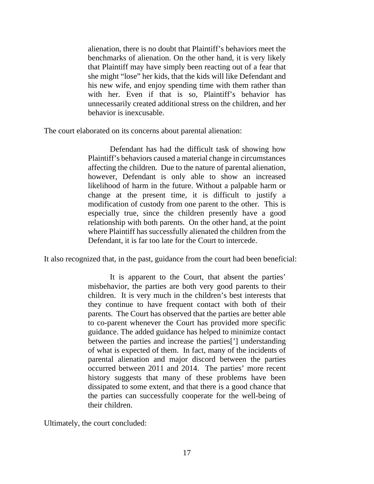alienation, there is no doubt that Plaintiff's behaviors meet the benchmarks of alienation. On the other hand, it is very likely that Plaintiff may have simply been reacting out of a fear that she might "lose" her kids, that the kids will like Defendant and his new wife, and enjoy spending time with them rather than with her. Even if that is so, Plaintiff's behavior has unnecessarily created additional stress on the children, and her behavior is inexcusable.

The court elaborated on its concerns about parental alienation:

Defendant has had the difficult task of showing how Plaintiff's behaviors caused a material change in circumstances affecting the children. Due to the nature of parental alienation, however, Defendant is only able to show an increased likelihood of harm in the future. Without a palpable harm or change at the present time, it is difficult to justify a modification of custody from one parent to the other. This is especially true, since the children presently have a good relationship with both parents. On the other hand, at the point where Plaintiff has successfully alienated the children from the Defendant, it is far too late for the Court to intercede.

It also recognized that, in the past, guidance from the court had been beneficial:

It is apparent to the Court, that absent the parties' misbehavior, the parties are both very good parents to their children. It is very much in the children's best interests that they continue to have frequent contact with both of their parents. The Court has observed that the parties are better able to co-parent whenever the Court has provided more specific guidance. The added guidance has helped to minimize contact between the parties and increase the parties['] understanding of what is expected of them. In fact, many of the incidents of parental alienation and major discord between the parties occurred between 2011 and 2014. The parties' more recent history suggests that many of these problems have been dissipated to some extent, and that there is a good chance that the parties can successfully cooperate for the well-being of their children.

Ultimately, the court concluded: